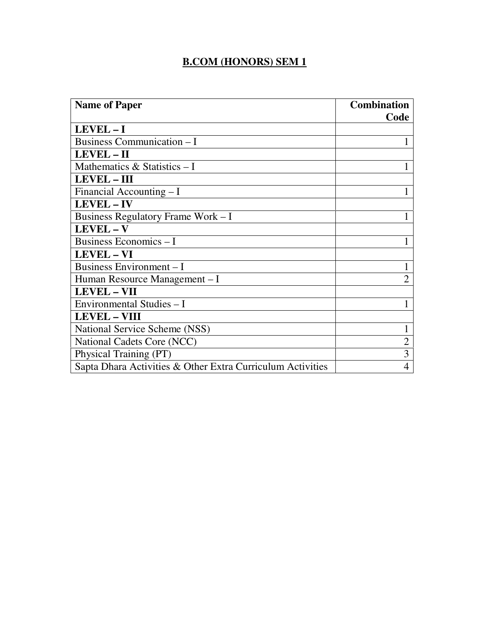## **B.COM (HONORS) SEM 1**

| <b>Name of Paper</b>                                       | <b>Combination</b> |
|------------------------------------------------------------|--------------------|
|                                                            | Code               |
| LEVEL-I                                                    |                    |
| <b>Business Communication – I</b>                          |                    |
| LEVEL - II                                                 |                    |
| Mathematics $& Statistics - I$                             |                    |
| <b>LEVEL - III</b>                                         |                    |
| Financial Accounting $-I$                                  |                    |
| <b>LEVEL-IV</b>                                            |                    |
| Business Regulatory Frame Work – I                         |                    |
| LEVEL-V                                                    |                    |
| Business Economics - I                                     |                    |
| <b>LEVEL - VI</b>                                          |                    |
| Business Environment - I                                   |                    |
| Human Resource Management – I                              | $\overline{2}$     |
| <b>LEVEL - VII</b>                                         |                    |
| Environmental Studies - I                                  |                    |
| <b>LEVEL - VIII</b>                                        |                    |
| National Service Scheme (NSS)                              |                    |
| National Cadets Core (NCC)                                 |                    |
| Physical Training (PT)                                     | 3                  |
| Sapta Dhara Activities & Other Extra Curriculum Activities | $\overline{4}$     |